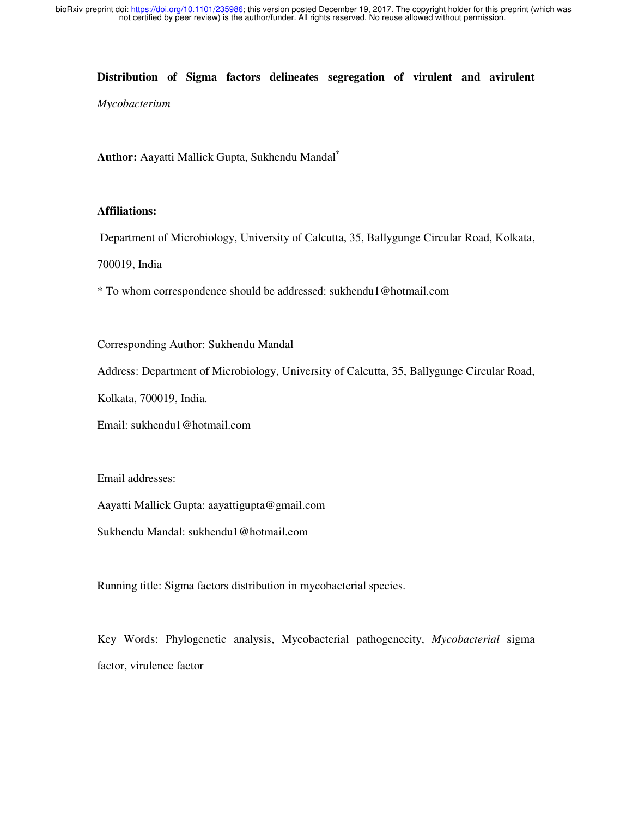#### **Distribution of Sigma factors delineates segregation of virulent and avirulent**

*Mycobacterium* 

**Author:** Aayatti Mallick Gupta, Sukhendu Mandal\*

### **Affiliations:**

Department of Microbiology, University of Calcutta, 35, Ballygunge Circular Road, Kolkata,

700019, India

\* To whom correspondence should be addressed: sukhendu1@hotmail.com

Corresponding Author: Sukhendu Mandal

Address: Department of Microbiology, University of Calcutta, 35, Ballygunge Circular Road,

Kolkata, 700019, India.

Email: sukhendu1@hotmail.com

Email addresses:

Aayatti Mallick Gupta: aayattigupta@gmail.com

Sukhendu Mandal: sukhendu1@hotmail.com

Running title: Sigma factors distribution in mycobacterial species.

Key Words: Phylogenetic analysis, Mycobacterial pathogenecity, *Mycobacterial* sigma factor, virulence factor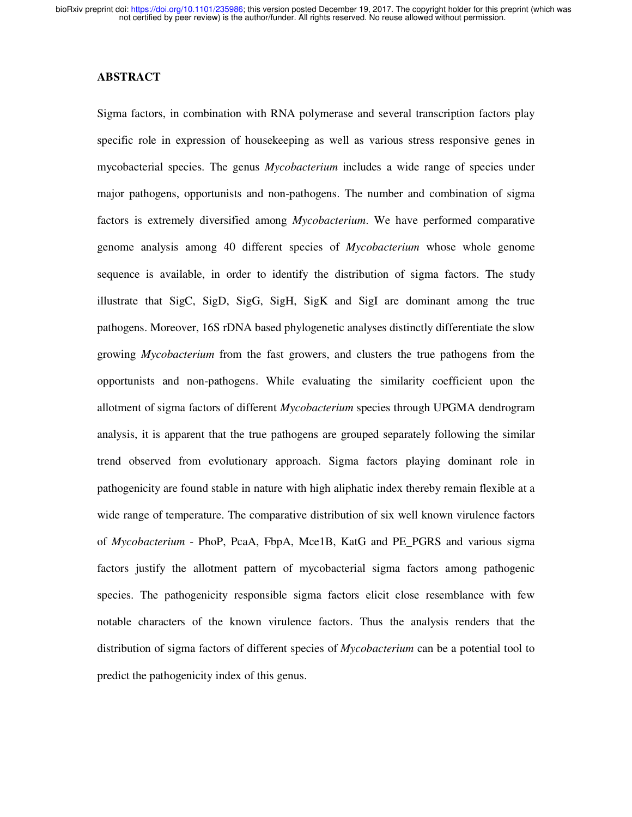### **ABSTRACT**

Sigma factors, in combination with RNA polymerase and several transcription factors play specific role in expression of housekeeping as well as various stress responsive genes in mycobacterial species. The genus *Mycobacterium* includes a wide range of species under major pathogens, opportunists and non-pathogens. The number and combination of sigma factors is extremely diversified among *Mycobacterium*. We have performed comparative genome analysis among 40 different species of *Mycobacterium* whose whole genome sequence is available, in order to identify the distribution of sigma factors. The study illustrate that SigC, SigD, SigG, SigH, SigK and SigI are dominant among the true pathogens. Moreover, 16S rDNA based phylogenetic analyses distinctly differentiate the slow growing *Mycobacterium* from the fast growers, and clusters the true pathogens from the opportunists and non-pathogens. While evaluating the similarity coefficient upon the allotment of sigma factors of different *Mycobacterium* species through UPGMA dendrogram analysis, it is apparent that the true pathogens are grouped separately following the similar trend observed from evolutionary approach. Sigma factors playing dominant role in pathogenicity are found stable in nature with high aliphatic index thereby remain flexible at a wide range of temperature. The comparative distribution of six well known virulence factors of *Mycobacterium* - PhoP, PcaA, FbpA, Mce1B, KatG and PE\_PGRS and various sigma factors justify the allotment pattern of mycobacterial sigma factors among pathogenic species. The pathogenicity responsible sigma factors elicit close resemblance with few notable characters of the known virulence factors. Thus the analysis renders that the distribution of sigma factors of different species of *Mycobacterium* can be a potential tool to predict the pathogenicity index of this genus.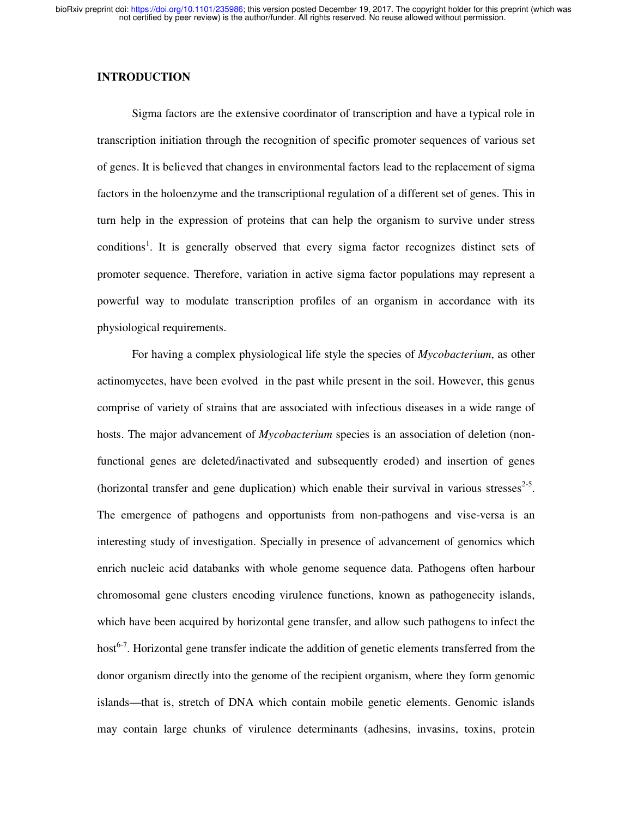## **INTRODUCTION**

Sigma factors are the extensive coordinator of transcription and have a typical role in transcription initiation through the recognition of specific promoter sequences of various set of genes. It is believed that changes in environmental factors lead to the replacement of sigma factors in the holoenzyme and the transcriptional regulation of a different set of genes. This in turn help in the expression of proteins that can help the organism to survive under stress conditions<sup>1</sup>. It is generally observed that every sigma factor recognizes distinct sets of promoter sequence. Therefore, variation in active sigma factor populations may represent a powerful way to modulate transcription profiles of an organism in accordance with its physiological requirements.

For having a complex physiological life style the species of *Mycobacterium*, as other actinomycetes, have been evolved in the past while present in the soil. However, this genus comprise of variety of strains that are associated with infectious diseases in a wide range of hosts. The major advancement of *Mycobacterium* species is an association of deletion (nonfunctional genes are deleted/inactivated and subsequently eroded) and insertion of genes (horizontal transfer and gene duplication) which enable their survival in various stresses $^{2-5}$ . The emergence of pathogens and opportunists from non-pathogens and vise-versa is an interesting study of investigation. Specially in presence of advancement of genomics which enrich nucleic acid databanks with whole genome sequence data. Pathogens often harbour chromosomal gene clusters encoding virulence functions, known as pathogenecity islands, which have been acquired by horizontal gene transfer, and allow such pathogens to infect the host<sup>6-7</sup>. Horizontal gene transfer indicate the addition of genetic elements transferred from the donor organism directly into the genome of the recipient organism, where they form genomic islands—that is, stretch of DNA which contain mobile genetic elements. Genomic islands may contain large chunks of virulence determinants (adhesins, invasins, toxins, protein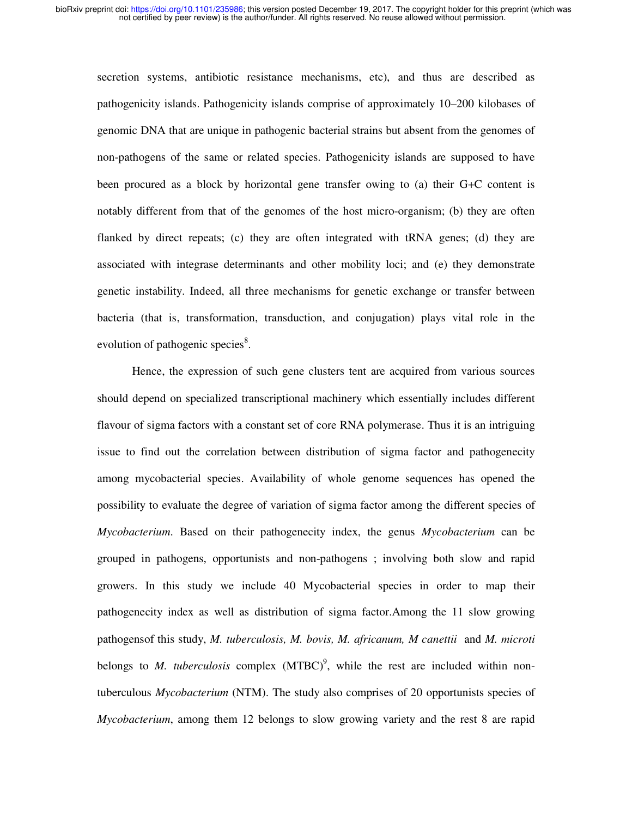secretion systems, antibiotic resistance mechanisms, etc), and thus are described as pathogenicity islands. Pathogenicity islands comprise of approximately 10–200 kilobases of genomic DNA that are unique in pathogenic bacterial strains but absent from the genomes of non-pathogens of the same or related species. Pathogenicity islands are supposed to have been procured as a block by horizontal gene transfer owing to (a) their G+C content is notably different from that of the genomes of the host micro-organism; (b) they are often flanked by direct repeats; (c) they are often integrated with tRNA genes; (d) they are associated with integrase determinants and other mobility loci; and (e) they demonstrate genetic instability. Indeed, all three mechanisms for genetic exchange or transfer between bacteria (that is, transformation, transduction, and conjugation) plays vital role in the evolution of pathogenic species<sup>8</sup>.

Hence, the expression of such gene clusters tent are acquired from various sources should depend on specialized transcriptional machinery which essentially includes different flavour of sigma factors with a constant set of core RNA polymerase. Thus it is an intriguing issue to find out the correlation between distribution of sigma factor and pathogenecity among mycobacterial species. Availability of whole genome sequences has opened the possibility to evaluate the degree of variation of sigma factor among the different species of *Mycobacterium*. Based on their pathogenecity index, the genus *Mycobacterium* can be grouped in pathogens, opportunists and non-pathogens ; involving both slow and rapid growers. In this study we include 40 Mycobacterial species in order to map their pathogenecity index as well as distribution of sigma factor.Among the 11 slow growing pathogensof this study, *M. tuberculosis, M. bovis, M. africanum, M canettii* and *M. microti* belongs to *M. tuberculosis* complex  $(MTBC)^9$ , while the rest are included within nontuberculous *Mycobacterium* (NTM). The study also comprises of 20 opportunists species of *Mycobacterium*, among them 12 belongs to slow growing variety and the rest 8 are rapid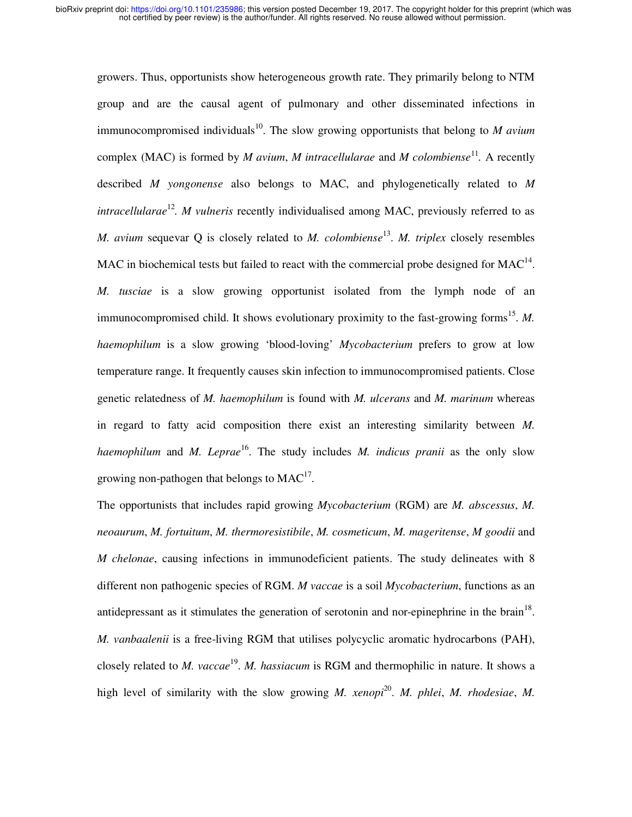growers. Thus, opportunists show heterogeneous growth rate. They primarily belong to NTM group and are the causal agent of pulmonary and other disseminated infections in immunocompromised individuals<sup>10</sup>. The slow growing opportunists that belong to *M avium* complex (MAC) is formed by *M avium, M intracellularae* and *M colombiense*<sup>11</sup>. A recently described *M yongonense* also belongs to MAC, and phylogenetically related to *M intracellularae*<sup>12</sup>. *M vulneris* recently individualised among MAC, previously referred to as *M. avium sequevar Q is closely related to <i>M. colombiense*<sup>13</sup>. *M. triplex closely resembles* MAC in biochemical tests but failed to react with the commercial probe designed for  $MAC<sup>14</sup>$ . *M. tusciae* is a slow growing opportunist isolated from the lymph node of an immunocompromised child. It shows evolutionary proximity to the fast-growing forms<sup>15</sup>. M. *haemophilum* is a slow growing 'blood-loving' *Mycobacterium* prefers to grow at low temperature range. It frequently causes skin infection to immunocompromised patients. Close genetic relatedness of *M. haemophilum* is found with *M. ulcerans* and *M. marinum* whereas in regard to fatty acid composition there exist an interesting similarity between *M. haemophilum* and *M. Leprae*<sup>16</sup>. The study includes *M. indicus pranii* as the only slow growing non-pathogen that belongs to  $MAC^{17}$ .

The opportunists that includes rapid growing *Mycobacterium* (RGM) are *M. abscessus*, *M. neoaurum*, *M. fortuitum*, *M. thermoresistibile*, *M. cosmeticum*, *M. mageritense*, *M goodii* and *M chelonae*, causing infections in immunodeficient patients. The study delineates with 8 different non pathogenic species of RGM. *M vaccae* is a soil *Mycobacterium*, functions as an antidepressant as it stimulates the generation of serotonin and nor-epinephrine in the brain<sup>18</sup>. *M. vanbaalenii* is a free-living RGM that utilises polycyclic aromatic hydrocarbons (PAH), closely related to *M. vaccae*<sup>19</sup>. *M. hassiacum* is RGM and thermophilic in nature. It shows a high level of similarity with the slow growing *M. xenopi*<sup>20</sup>. *M. phlei, M. rhodesiae, M.*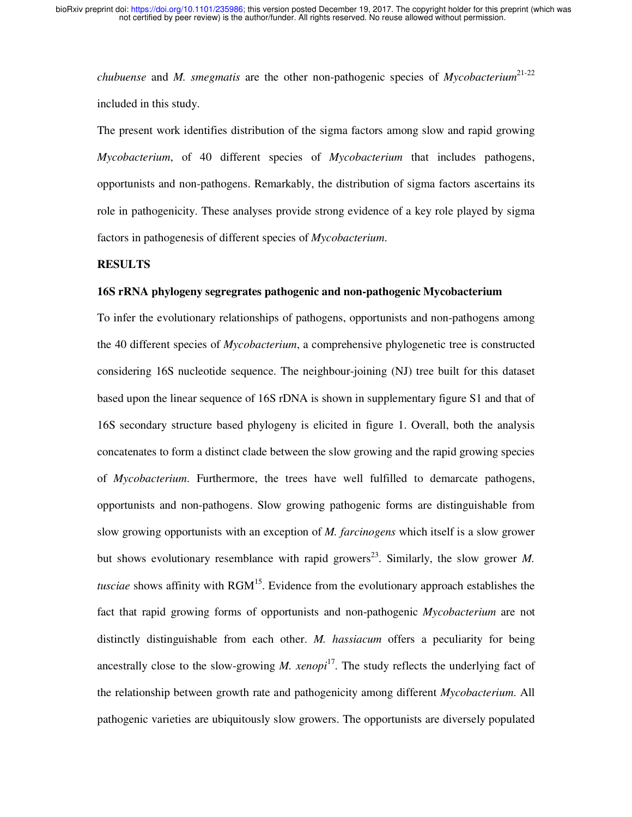*chubuense* and *M. smegmatis* are the other non-pathogenic species of *Mycobacterium*<sup>21-22</sup> included in this study.

The present work identifies distribution of the sigma factors among slow and rapid growing *Mycobacterium*, of 40 different species of *Mycobacterium* that includes pathogens, opportunists and non-pathogens. Remarkably, the distribution of sigma factors ascertains its role in pathogenicity. These analyses provide strong evidence of a key role played by sigma factors in pathogenesis of different species of *Mycobacterium*.

#### **RESULTS**

#### **16S rRNA phylogeny segregrates pathogenic and non-pathogenic Mycobacterium**

To infer the evolutionary relationships of pathogens, opportunists and non-pathogens among the 40 different species of *Mycobacterium*, a comprehensive phylogenetic tree is constructed considering 16S nucleotide sequence. The neighbour-joining (NJ) tree built for this dataset based upon the linear sequence of 16S rDNA is shown in supplementary figure S1 and that of 16S secondary structure based phylogeny is elicited in figure 1. Overall, both the analysis concatenates to form a distinct clade between the slow growing and the rapid growing species of *Mycobacterium*. Furthermore, the trees have well fulfilled to demarcate pathogens, opportunists and non-pathogens. Slow growing pathogenic forms are distinguishable from slow growing opportunists with an exception of *M. farcinogens* which itself is a slow grower but shows evolutionary resemblance with rapid growers<sup>23</sup>. Similarly, the slow grower *M*. *tusciae* shows affinity with RGM<sup>15</sup>. Evidence from the evolutionary approach establishes the fact that rapid growing forms of opportunists and non-pathogenic *Mycobacterium* are not distinctly distinguishable from each other. *M. hassiacum* offers a peculiarity for being ancestrally close to the slow-growing  $M$ . *xenopi*<sup>17</sup>. The study reflects the underlying fact of the relationship between growth rate and pathogenicity among different *Mycobacterium*. All pathogenic varieties are ubiquitously slow growers. The opportunists are diversely populated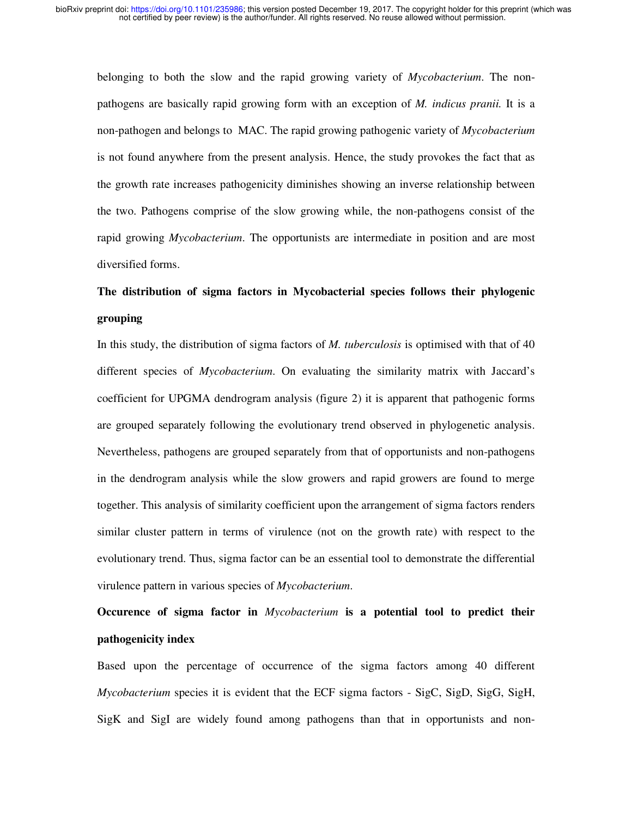belonging to both the slow and the rapid growing variety of *Mycobacterium*. The nonpathogens are basically rapid growing form with an exception of *M. indicus pranii.* It is a non-pathogen and belongs to MAC. The rapid growing pathogenic variety of *Mycobacterium*  is not found anywhere from the present analysis. Hence, the study provokes the fact that as the growth rate increases pathogenicity diminishes showing an inverse relationship between the two. Pathogens comprise of the slow growing while, the non-pathogens consist of the rapid growing *Mycobacterium*. The opportunists are intermediate in position and are most diversified forms.

# **The distribution of sigma factors in Mycobacterial species follows their phylogenic grouping**

In this study, the distribution of sigma factors of *M. tuberculosis* is optimised with that of 40 different species of *Mycobacterium*. On evaluating the similarity matrix with Jaccard's coefficient for UPGMA dendrogram analysis (figure 2) it is apparent that pathogenic forms are grouped separately following the evolutionary trend observed in phylogenetic analysis. Nevertheless, pathogens are grouped separately from that of opportunists and non-pathogens in the dendrogram analysis while the slow growers and rapid growers are found to merge together. This analysis of similarity coefficient upon the arrangement of sigma factors renders similar cluster pattern in terms of virulence (not on the growth rate) with respect to the evolutionary trend. Thus, sigma factor can be an essential tool to demonstrate the differential virulence pattern in various species of *Mycobacterium*.

# **Occurence of sigma factor in** *Mycobacterium* **is a potential tool to predict their pathogenicity index**

Based upon the percentage of occurrence of the sigma factors among 40 different *Mycobacterium* species it is evident that the ECF sigma factors - SigC, SigD, SigG, SigH, SigK and SigI are widely found among pathogens than that in opportunists and non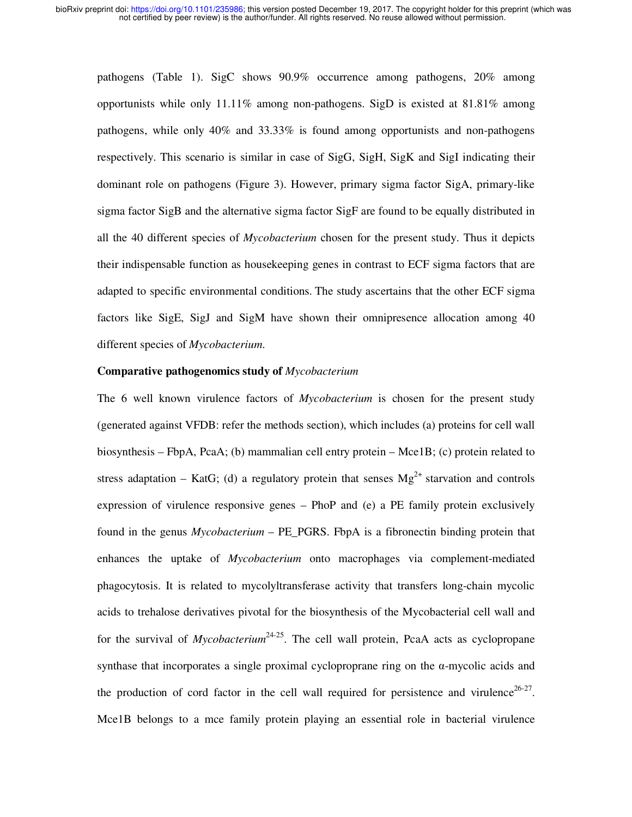pathogens (Table 1). SigC shows 90.9% occurrence among pathogens, 20% among opportunists while only  $11.11\%$  among non-pathogens. SigD is existed at  $81.81\%$  among pathogens, while only 40% and 33.33% is found among opportunists and non-pathogens respectively. This scenario is similar in case of SigG, SigH, SigK and SigI indicating their dominant role on pathogens (Figure 3). However, primary sigma factor SigA, primary-like sigma factor SigB and the alternative sigma factor SigF are found to be equally distributed in all the 40 different species of *Mycobacterium* chosen for the present study. Thus it depicts their indispensable function as housekeeping genes in contrast to ECF sigma factors that are adapted to specific environmental conditions. The study ascertains that the other ECF sigma factors like SigE, SigJ and SigM have shown their omnipresence allocation among 40 different species of *Mycobacterium*.

#### **Comparative pathogenomics study of** *Mycobacterium*

The 6 well known virulence factors of *Mycobacterium* is chosen for the present study (generated against VFDB: refer the methods section), which includes (a) proteins for cell wall biosynthesis – FbpA, PcaA; (b) mammalian cell entry protein – Mce1B; (c) protein related to stress adaptation – KatG; (d) a regulatory protein that senses  $Mg^{2+}$  starvation and controls expression of virulence responsive genes – PhoP and (e) a PE family protein exclusively found in the genus *Mycobacterium* – PE\_PGRS. FbpA is a fibronectin binding protein that enhances the uptake of *Mycobacterium* onto macrophages via complement-mediated phagocytosis. It is related to mycolyltransferase activity that transfers long-chain mycolic acids to trehalose derivatives pivotal for the biosynthesis of the Mycobacterial cell wall and for the survival of *Mycobacterium*<sup>24-25</sup>. The cell wall protein, PcaA acts as cyclopropane synthase that incorporates a single proximal cycloproprane ring on the α-mycolic acids and the production of cord factor in the cell wall required for persistence and virulence<sup>26-27</sup>. Mce1B belongs to a mce family protein playing an essential role in bacterial virulence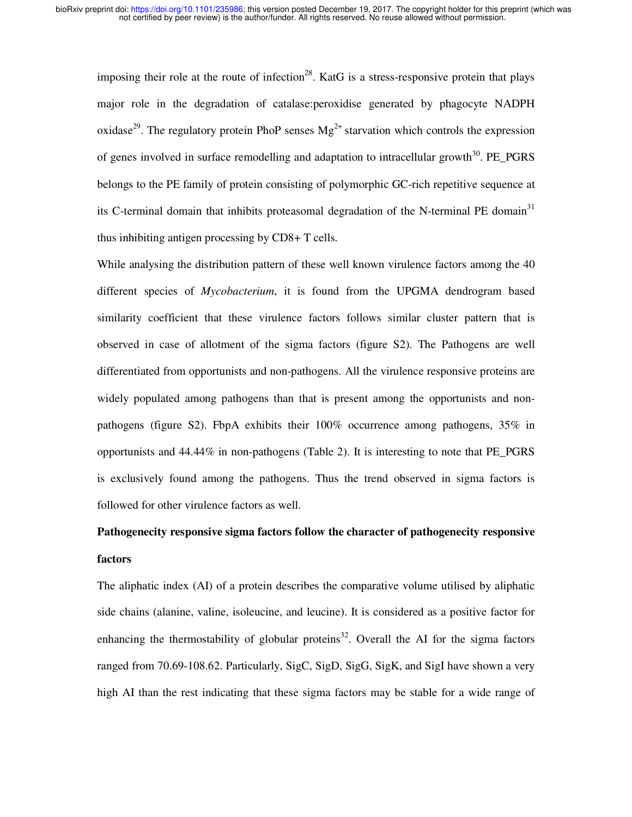imposing their role at the route of infection<sup>28</sup>. KatG is a stress-responsive protein that plays major role in the degradation of catalase:peroxidise generated by phagocyte NADPH oxidase<sup>29</sup>. The regulatory protein PhoP senses  $Mg^{2+}$  starvation which controls the expression of genes involved in surface remodelling and adaptation to intracellular growth<sup>30</sup>. PE\_PGRS belongs to the PE family of protein consisting of polymorphic GC-rich repetitive sequence at its C-terminal domain that inhibits proteasomal degradation of the N-terminal PE domain<sup>31</sup> thus inhibiting antigen processing by CD8+ T cells.

While analysing the distribution pattern of these well known virulence factors among the 40 different species of *Mycobacterium*, it is found from the UPGMA dendrogram based similarity coefficient that these virulence factors follows similar cluster pattern that is observed in case of allotment of the sigma factors (figure S2). The Pathogens are well differentiated from opportunists and non-pathogens. All the virulence responsive proteins are widely populated among pathogens than that is present among the opportunists and nonpathogens (figure S2). FbpA exhibits their 100% occurrence among pathogens, 35% in opportunists and 44.44% in non-pathogens (Table 2). It is interesting to note that PE\_PGRS is exclusively found among the pathogens. Thus the trend observed in sigma factors is followed for other virulence factors as well.

# **Pathogenecity responsive sigma factors follow the character of pathogenecity responsive factors**

The aliphatic index (AI) of a protein describes the comparative volume utilised by aliphatic side chains (alanine, valine, isoleucine, and leucine). It is considered as a positive factor for enhancing the thermostability of globular proteins<sup>32</sup>. Overall the AI for the sigma factors ranged from 70.69-108.62. Particularly, SigC, SigD, SigG, SigK, and SigI have shown a very high AI than the rest indicating that these sigma factors may be stable for a wide range of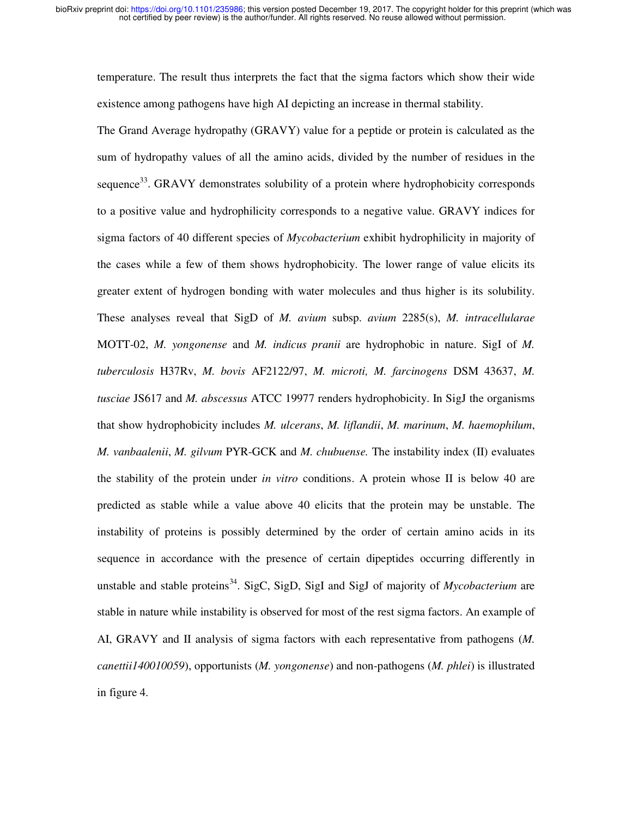temperature. The result thus interprets the fact that the sigma factors which show their wide existence among pathogens have high AI depicting an increase in thermal stability.

The Grand Average hydropathy (GRAVY) value for a peptide or protein is calculated as the sum of hydropathy values of all the amino acids, divided by the number of residues in the sequence<sup>33</sup>. GRAVY demonstrates solubility of a protein where hydrophobicity corresponds to a positive value and hydrophilicity corresponds to a negative value. GRAVY indices for sigma factors of 40 different species of *Mycobacterium* exhibit hydrophilicity in majority of the cases while a few of them shows hydrophobicity. The lower range of value elicits its greater extent of hydrogen bonding with water molecules and thus higher is its solubility. These analyses reveal that SigD of *M. avium* subsp. *avium* 2285(s), *M. intracellularae*  MOTT-02, *M. yongonense* and *M. indicus pranii* are hydrophobic in nature. SigI of *M. tuberculosis* H37Rv, *M. bovis* AF2122/97, *M. microti, M. farcinogens* DSM 43637, *M. tusciae* JS617 and *M. abscessus* ATCC 19977 renders hydrophobicity. In SigJ the organisms that show hydrophobicity includes *M. ulcerans*, *M. liflandii*, *M. marinum*, *M. haemophilum*, *M. vanbaalenii*, *M. gilvum* PYR-GCK and *M. chubuense.* The instability index (II) evaluates the stability of the protein under *in vitro* conditions. A protein whose II is below 40 are predicted as stable while a value above 40 elicits that the protein may be unstable. The instability of proteins is possibly determined by the order of certain amino acids in its sequence in accordance with the presence of certain dipeptides occurring differently in unstable and stable proteins<sup>34</sup>. SigC, SigD, SigI and SigJ of majority of *Mycobacterium* are stable in nature while instability is observed for most of the rest sigma factors. An example of AI, GRAVY and II analysis of sigma factors with each representative from pathogens (*M. canettii140010059*), opportunists (*M. yongonense*) and non-pathogens (*M. phlei*) is illustrated in figure 4.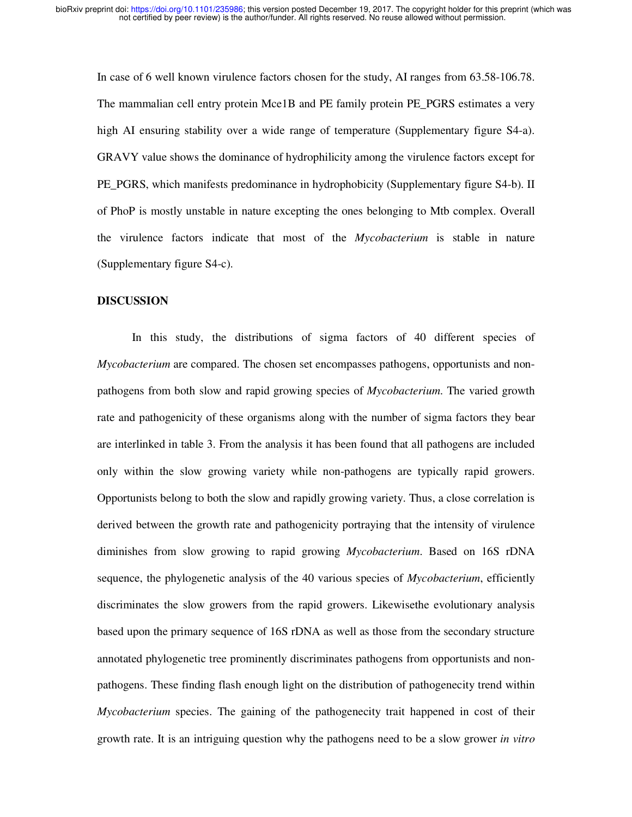In case of 6 well known virulence factors chosen for the study, AI ranges from 63.58-106.78. The mammalian cell entry protein Mce1B and PE family protein PE\_PGRS estimates a very high AI ensuring stability over a wide range of temperature (Supplementary figure S4-a). GRAVY value shows the dominance of hydrophilicity among the virulence factors except for PE\_PGRS, which manifests predominance in hydrophobicity (Supplementary figure S4-b). II of PhoP is mostly unstable in nature excepting the ones belonging to Mtb complex. Overall the virulence factors indicate that most of the *Mycobacterium* is stable in nature (Supplementary figure S4-c).

#### **DISCUSSION**

In this study, the distributions of sigma factors of 40 different species of *Mycobacterium* are compared. The chosen set encompasses pathogens, opportunists and nonpathogens from both slow and rapid growing species of *Mycobacterium*. The varied growth rate and pathogenicity of these organisms along with the number of sigma factors they bear are interlinked in table 3. From the analysis it has been found that all pathogens are included only within the slow growing variety while non-pathogens are typically rapid growers. Opportunists belong to both the slow and rapidly growing variety. Thus, a close correlation is derived between the growth rate and pathogenicity portraying that the intensity of virulence diminishes from slow growing to rapid growing *Mycobacterium*. Based on 16S rDNA sequence, the phylogenetic analysis of the 40 various species of *Mycobacterium*, efficiently discriminates the slow growers from the rapid growers. Likewisethe evolutionary analysis based upon the primary sequence of 16S rDNA as well as those from the secondary structure annotated phylogenetic tree prominently discriminates pathogens from opportunists and nonpathogens. These finding flash enough light on the distribution of pathogenecity trend within *Mycobacterium* species. The gaining of the pathogenecity trait happened in cost of their growth rate. It is an intriguing question why the pathogens need to be a slow grower *in vitro*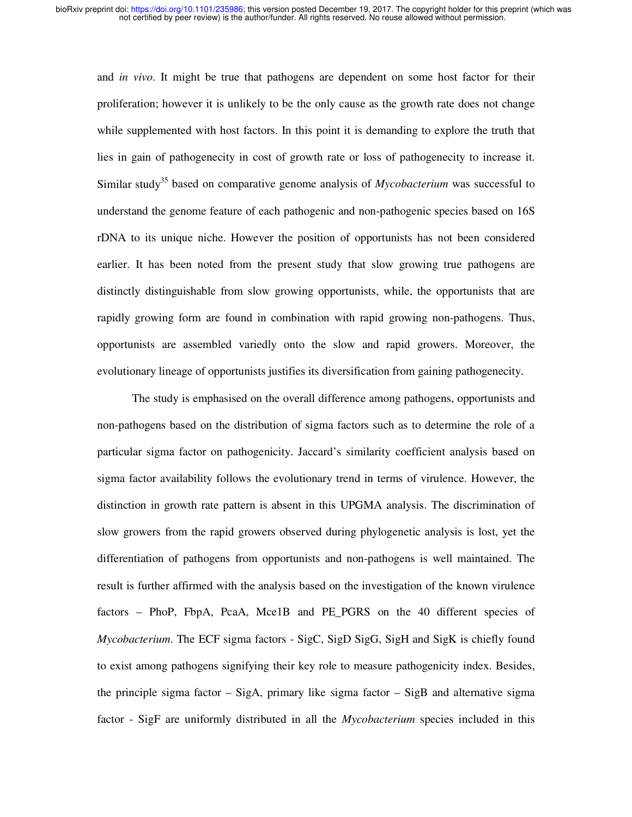and *in vivo*. It might be true that pathogens are dependent on some host factor for their proliferation; however it is unlikely to be the only cause as the growth rate does not change while supplemented with host factors. In this point it is demanding to explore the truth that lies in gain of pathogenecity in cost of growth rate or loss of pathogenecity to increase it. Similar study<sup>35</sup> based on comparative genome analysis of *Mycobacterium* was successful to understand the genome feature of each pathogenic and non-pathogenic species based on 16S rDNA to its unique niche. However the position of opportunists has not been considered earlier. It has been noted from the present study that slow growing true pathogens are distinctly distinguishable from slow growing opportunists, while, the opportunists that are rapidly growing form are found in combination with rapid growing non-pathogens. Thus, opportunists are assembled variedly onto the slow and rapid growers. Moreover, the evolutionary lineage of opportunists justifies its diversification from gaining pathogenecity.

The study is emphasised on the overall difference among pathogens, opportunists and non-pathogens based on the distribution of sigma factors such as to determine the role of a particular sigma factor on pathogenicity. Jaccard's similarity coefficient analysis based on sigma factor availability follows the evolutionary trend in terms of virulence. However, the distinction in growth rate pattern is absent in this UPGMA analysis. The discrimination of slow growers from the rapid growers observed during phylogenetic analysis is lost, yet the differentiation of pathogens from opportunists and non-pathogens is well maintained. The result is further affirmed with the analysis based on the investigation of the known virulence factors – PhoP, FbpA, PcaA, Mce1B and PE\_PGRS on the 40 different species of *Mycobacterium*. The ECF sigma factors - SigC, SigD SigG, SigH and SigK is chiefly found to exist among pathogens signifying their key role to measure pathogenicity index. Besides, the principle sigma factor – SigA, primary like sigma factor – SigB and alternative sigma factor - SigF are uniformly distributed in all the *Mycobacterium* species included in this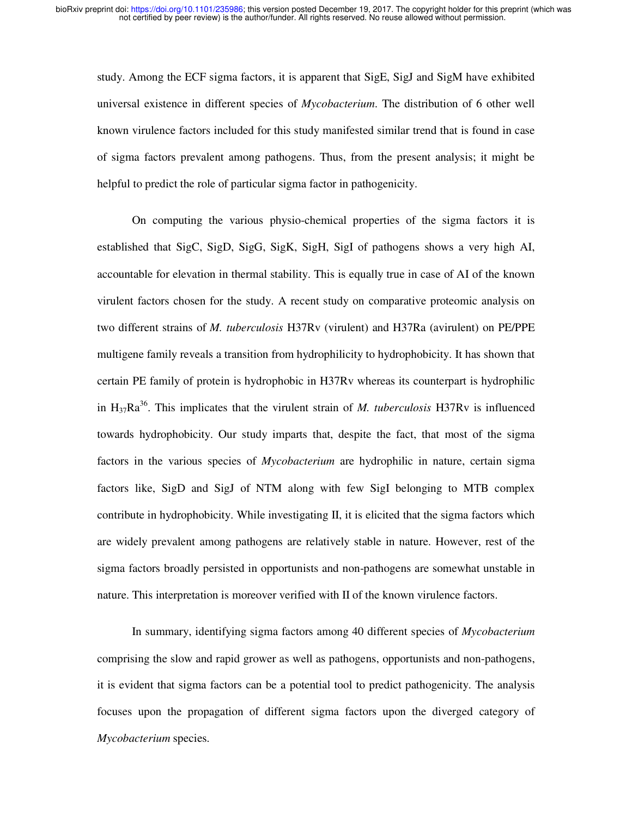study. Among the ECF sigma factors, it is apparent that SigE, SigJ and SigM have exhibited universal existence in different species of *Mycobacterium*. The distribution of 6 other well known virulence factors included for this study manifested similar trend that is found in case of sigma factors prevalent among pathogens. Thus, from the present analysis; it might be helpful to predict the role of particular sigma factor in pathogenicity.

On computing the various physio-chemical properties of the sigma factors it is established that SigC, SigD, SigG, SigK, SigH, SigI of pathogens shows a very high AI, accountable for elevation in thermal stability. This is equally true in case of AI of the known virulent factors chosen for the study. A recent study on comparative proteomic analysis on two different strains of *M. tuberculosis* H37Rv (virulent) and H37Ra (avirulent) on PE/PPE multigene family reveals a transition from hydrophilicity to hydrophobicity. It has shown that certain PE family of protein is hydrophobic in H37Rv whereas its counterpart is hydrophilic in  $H_{37}Ra^{36}$ . This implicates that the virulent strain of *M. tuberculosis* H37Rv is influenced towards hydrophobicity. Our study imparts that, despite the fact, that most of the sigma factors in the various species of *Mycobacterium* are hydrophilic in nature, certain sigma factors like, SigD and SigJ of NTM along with few SigI belonging to MTB complex contribute in hydrophobicity. While investigating II, it is elicited that the sigma factors which are widely prevalent among pathogens are relatively stable in nature. However, rest of the sigma factors broadly persisted in opportunists and non-pathogens are somewhat unstable in nature. This interpretation is moreover verified with II of the known virulence factors.

In summary, identifying sigma factors among 40 different species of *Mycobacterium*  comprising the slow and rapid grower as well as pathogens, opportunists and non-pathogens, it is evident that sigma factors can be a potential tool to predict pathogenicity. The analysis focuses upon the propagation of different sigma factors upon the diverged category of *Mycobacterium* species.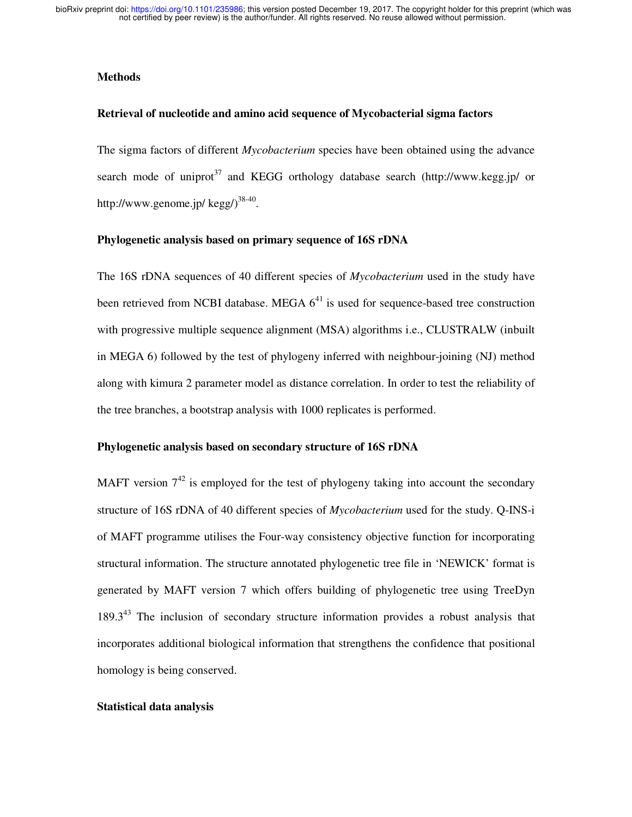## **Methods**

## **Retrieval of nucleotide and amino acid sequence of Mycobacterial sigma factors**

The sigma factors of different *Mycobacterium* species have been obtained using the advance search mode of uniprot<sup>37</sup> and KEGG orthology database search (http://www.kegg.jp/ or http://www.genome.jp/  $\text{kegg/}^{38-40}$ .

### **Phylogenetic analysis based on primary sequence of 16S rDNA**

The 16S rDNA sequences of 40 different species of *Mycobacterium* used in the study have been retrieved from NCBI database. MEGA  $6<sup>41</sup>$  is used for sequence-based tree construction with progressive multiple sequence alignment (MSA) algorithms *i.e.*, CLUSTRALW (inbuilt in MEGA 6) followed by the test of phylogeny inferred with neighbour-joining (NJ) method along with kimura 2 parameter model as distance correlation. In order to test the reliability of the tree branches, a bootstrap analysis with 1000 replicates is performed.

### **Phylogenetic analysis based on secondary structure of 16S rDNA**

MAFT version  $7^{42}$  is employed for the test of phylogeny taking into account the secondary structure of 16S rDNA of 40 different species of *Mycobacterium* used for the study. Q-INS-i of MAFT programme utilises the Four-way consistency objective function for incorporating structural information. The structure annotated phylogenetic tree file in 'NEWICK' format is generated by MAFT version 7 which offers building of phylogenetic tree using TreeDyn  $189.3<sup>43</sup>$  The inclusion of secondary structure information provides a robust analysis that incorporates additional biological information that strengthens the confidence that positional homology is being conserved.

## **Statistical data analysis**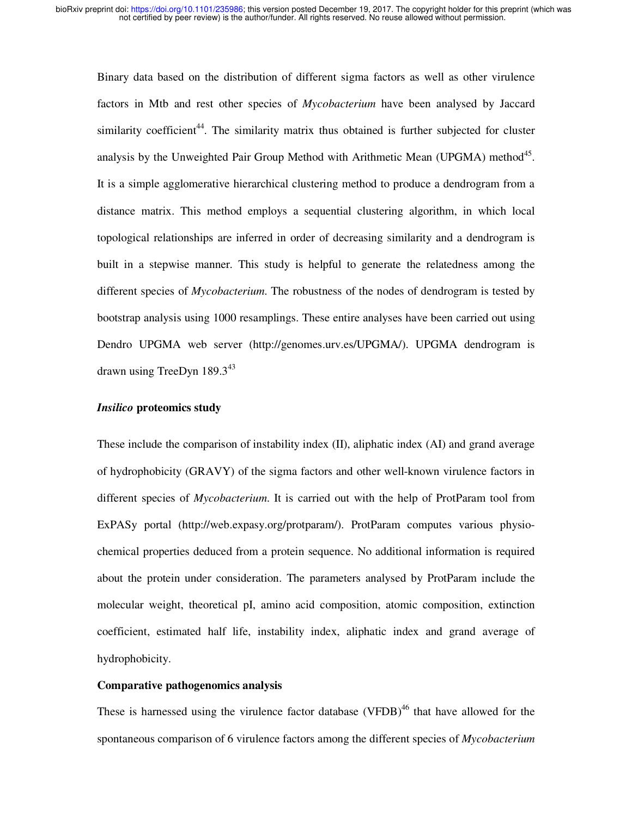Binary data based on the distribution of different sigma factors as well as other virulence factors in Mtb and rest other species of *Mycobacterium* have been analysed by Jaccard similarity coefficient<sup>44</sup>. The similarity matrix thus obtained is further subjected for cluster analysis by the Unweighted Pair Group Method with Arithmetic Mean (UPGMA) method $45$ . It is a simple agglomerative hierarchical clustering method to produce a dendrogram from a distance matrix. This method employs a sequential clustering algorithm, in which local topological relationships are inferred in order of decreasing similarity and a dendrogram is built in a stepwise manner. This study is helpful to generate the relatedness among the different species of *Mycobacterium*. The robustness of the nodes of dendrogram is tested by bootstrap analysis using 1000 resamplings. These entire analyses have been carried out using Dendro UPGMA web server (http://genomes.urv.es/UPGMA/). UPGMA dendrogram is drawn using TreeDyn  $189.3^{43}$ 

## *Insilico* **proteomics study**

These include the comparison of instability index (II), aliphatic index (AI) and grand average of hydrophobicity (GRAVY) of the sigma factors and other well-known virulence factors in different species of *Mycobacterium*. It is carried out with the help of ProtParam tool from ExPASy portal (http://web.expasy.org/protparam/). ProtParam computes various physiochemical properties deduced from a protein sequence. No additional information is required about the protein under consideration. The parameters analysed by ProtParam include the molecular weight, theoretical pI, amino acid composition, atomic composition, extinction coefficient, estimated half life, instability index, aliphatic index and grand average of hydrophobicity.

#### **Comparative pathogenomics analysis**

These is harnessed using the virulence factor database (VFDB)<sup>46</sup> that have allowed for the spontaneous comparison of 6 virulence factors among the different species of *Mycobacterium*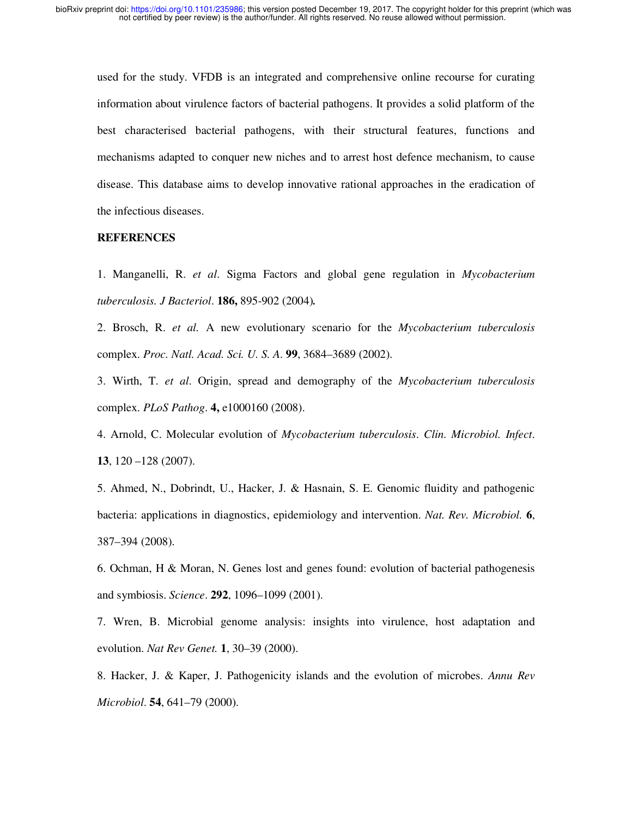used for the study. VFDB is an integrated and comprehensive online recourse for curating information about virulence factors of bacterial pathogens. It provides a solid platform of the best characterised bacterial pathogens, with their structural features, functions and mechanisms adapted to conquer new niches and to arrest host defence mechanism, to cause disease. This database aims to develop innovative rational approaches in the eradication of the infectious diseases.

## **REFERENCES**

1. Manganelli, R. *et al*. Sigma Factors and global gene regulation in *Mycobacterium tuberculosis. J Bacteriol*. **186,** 895-902 (2004)*.*

2. Brosch, R. *et al.* A new evolutionary scenario for the *Mycobacterium tuberculosis*  complex. *Proc. Natl. Acad. Sci. U. S. A*. **99**, 3684–3689 (2002).

3. Wirth, T. *et al*. Origin, spread and demography of the *Mycobacterium tuberculosis*  complex. *PLoS Pathog*. **4,** e1000160 (2008).

4. Arnold, C. Molecular evolution of *Mycobacterium tuberculosis*. *Clin. Microbiol. Infect*. **13**, 120 –128 (2007).

5. Ahmed, N., Dobrindt, U., Hacker, J. & Hasnain, S. E. Genomic fluidity and pathogenic bacteria: applications in diagnostics, epidemiology and intervention. *Nat. Rev. Microbiol.* **6**, 387–394 (2008).

6. Ochman, H & Moran, N. Genes lost and genes found: evolution of bacterial pathogenesis and symbiosis. *Science*. **292**, 1096–1099 (2001).

7. Wren, B. Microbial genome analysis: insights into virulence, host adaptation and evolution. *Nat Rev Genet.* **1**, 30–39 (2000).

8. Hacker, J. & Kaper, J. Pathogenicity islands and the evolution of microbes. *Annu Rev Microbiol*. **54**, 641–79 (2000).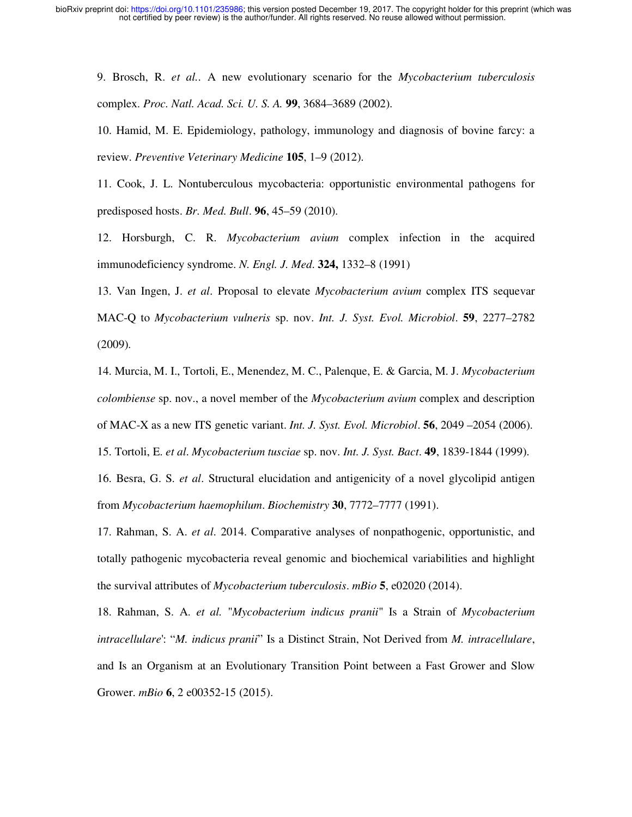9. Brosch, R. *et al.*. A new evolutionary scenario for the *Mycobacterium tuberculosis*  complex. *Proc. Natl. Acad. Sci. U. S. A.* **99**, 3684–3689 (2002).

10. Hamid, M. E. Epidemiology, pathology, immunology and diagnosis of bovine farcy: a review. *Preventive Veterinary Medicine* **105**, 1–9 (2012).

11. Cook, J. L. Nontuberculous mycobacteria: opportunistic environmental pathogens for predisposed hosts. *Br. Med. Bull*. **96**, 45–59 (2010).

12. Horsburgh, C. R. *Mycobacterium avium* complex infection in the acquired immunodeficiency syndrome. *N. Engl. J. Med*. **324,** 1332–8 (1991)

13. Van Ingen, J. *et al*. Proposal to elevate *Mycobacterium avium* complex ITS sequevar MAC-Q to *Mycobacterium vulneris* sp. nov. *Int. J. Syst. Evol. Microbiol*. **59**, 2277–2782 (2009).

14. Murcia, M. I., Tortoli, E., Menendez, M. C., Palenque, E. & Garcia, M. J. *Mycobacterium colombiense* sp. nov., a novel member of the *Mycobacterium avium* complex and description of MAC-X as a new ITS genetic variant. *Int. J. Syst. Evol. Microbiol*. **56**, 2049 –2054 (2006).

15. Tortoli, E. *et al*. *Mycobacterium tusciae* sp. nov. *Int. J. Syst. Bact*. **49**, 1839-1844 (1999).

16. Besra, G. S. *et al*. Structural elucidation and antigenicity of a novel glycolipid antigen from *Mycobacterium haemophilum*. *Biochemistry* **30**, 7772–7777 (1991).

17. Rahman, S. A. *et al*. 2014. Comparative analyses of nonpathogenic, opportunistic, and totally pathogenic mycobacteria reveal genomic and biochemical variabilities and highlight the survival attributes of *Mycobacterium tuberculosis*. *mBio* **5**, e02020 (2014).

18. Rahman, S. A. *et al.* "*Mycobacterium indicus pranii*" Is a Strain of *Mycobacterium intracellulare*': "*M. indicus pranii*" Is a Distinct Strain, Not Derived from *M. intracellulare*, and Is an Organism at an Evolutionary Transition Point between a Fast Grower and Slow Grower. *mBio* **6**, 2 e00352-15 (2015).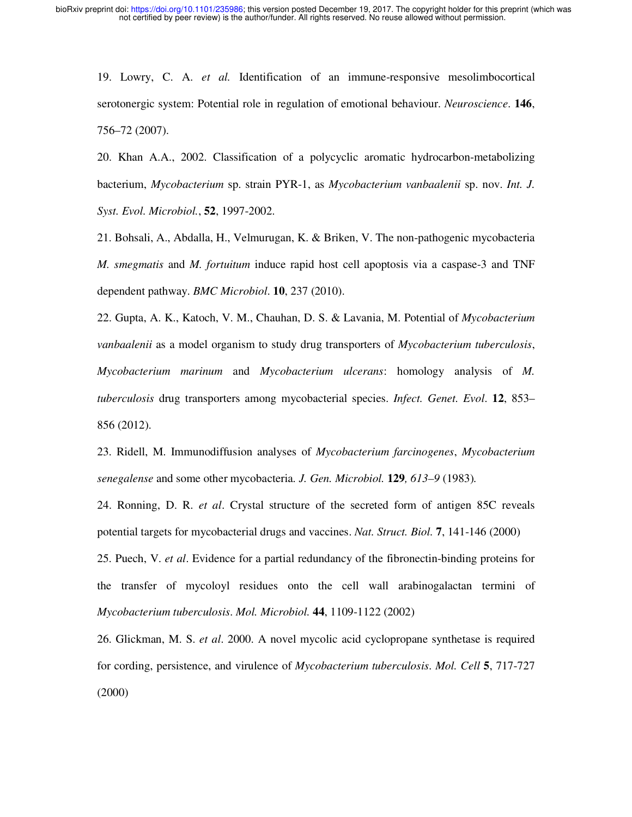19. Lowry, C. A. *et al.* Identification of an immune-responsive mesolimbocortical serotonergic system: Potential role in regulation of emotional behaviour. *Neuroscience*. **146**, 756–72 (2007).

20. Khan A.A., 2002. Classification of a polycyclic aromatic hydrocarbon-metabolizing bacterium, *Mycobacterium* sp. strain PYR-1, as *Mycobacterium vanbaalenii* sp. nov. *Int. J. Syst. Evol. Microbiol.*, **52**, 1997-2002.

21. Bohsali, A., Abdalla, H., Velmurugan, K. & Briken, V. The non-pathogenic mycobacteria *M. smegmatis* and *M. fortuitum* induce rapid host cell apoptosis via a caspase-3 and TNF dependent pathway. *BMC Microbiol*. **10**, 237 (2010).

22. Gupta, A. K., Katoch, V. M., Chauhan, D. S. & Lavania, M. Potential of *Mycobacterium vanbaalenii* as a model organism to study drug transporters of *Mycobacterium tuberculosis*, *Mycobacterium marinum* and *Mycobacterium ulcerans*: homology analysis of *M. tuberculosis* drug transporters among mycobacterial species. *Infect. Genet. Evol*. **12**, 853– 856 (2012).

23. Ridell, M. Immunodiffusion analyses of *Mycobacterium farcinogenes*, *Mycobacterium senegalense* and some other mycobacteria*. J. Gen. Microbiol.* **129***, 613–9* (1983)*.*

24. Ronning, D. R. *et al*. Crystal structure of the secreted form of antigen 85C reveals potential targets for mycobacterial drugs and vaccines. *Nat. Struct. Biol.* **7**, 141-146 (2000)

25. Puech, V. *et al*. Evidence for a partial redundancy of the fibronectin-binding proteins for the transfer of mycoloyl residues onto the cell wall arabinogalactan termini of *Mycobacterium tuberculosis*. *Mol. Microbiol.* **44**, 1109-1122 (2002)

26. Glickman, M. S. *et al*. 2000. A novel mycolic acid cyclopropane synthetase is required for cording, persistence, and virulence of *Mycobacterium tuberculosis*. *Mol. Cell* **5**, 717-727 (2000)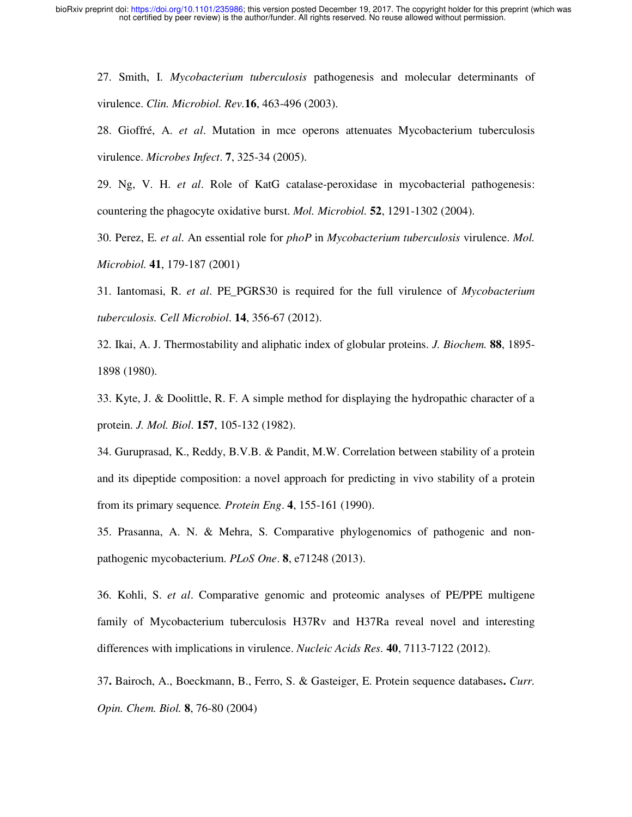27. Smith, I. *Mycobacterium tuberculosis* pathogenesis and molecular determinants of virulence. *Clin. Microbiol. Rev.***16**, 463-496 (2003).

28. Gioffré, A. *et al*. Mutation in mce operons attenuates Mycobacterium tuberculosis virulence. *Microbes Infect*. **7**, 325-34 (2005).

29. Ng, V. H. *et al*. Role of KatG catalase-peroxidase in mycobacterial pathogenesis: countering the phagocyte oxidative burst. *Mol. Microbiol.* **52**, 1291-1302 (2004).

30. Perez, E. *et al*. An essential role for *phoP* in *Mycobacterium tuberculosis* virulence. *Mol. Microbiol.* **41**, 179-187 (2001)

31. Iantomasi, R. *et al*. PE\_PGRS30 is required for the full virulence of *Mycobacterium tuberculosis. Cell Microbiol*. **14**, 356-67 (2012).

32. Ikai, A. J. Thermostability and aliphatic index of globular proteins. *J. Biochem.* **88**, 1895- 1898 (1980).

33. Kyte, J. & Doolittle, R. F. A simple method for displaying the hydropathic character of a protein. *J. Mol. Biol*. **157**, 105-132 (1982).

34. Guruprasad, K., Reddy, B.V.B. & Pandit, M.W. Correlation between stability of a protein and its dipeptide composition: a novel approach for predicting in vivo stability of a protein from its primary sequence*. Protein Eng*. **4**, 155-161 (1990).

35. Prasanna, A. N. & Mehra, S. Comparative phylogenomics of pathogenic and nonpathogenic mycobacterium. *PLoS One*. **8**, e71248 (2013).

36. Kohli, S. *et al*. Comparative genomic and proteomic analyses of PE/PPE multigene family of Mycobacterium tuberculosis H37Rv and H37Ra reveal novel and interesting differences with implications in virulence. *Nucleic Acids Res.* **40**, 7113-7122 (2012).

37**.** Bairoch, A., Boeckmann, B., Ferro, S. & Gasteiger, E. Protein sequence databases**.** *Curr. Opin. Chem. Biol.* **8**, 76-80 (2004)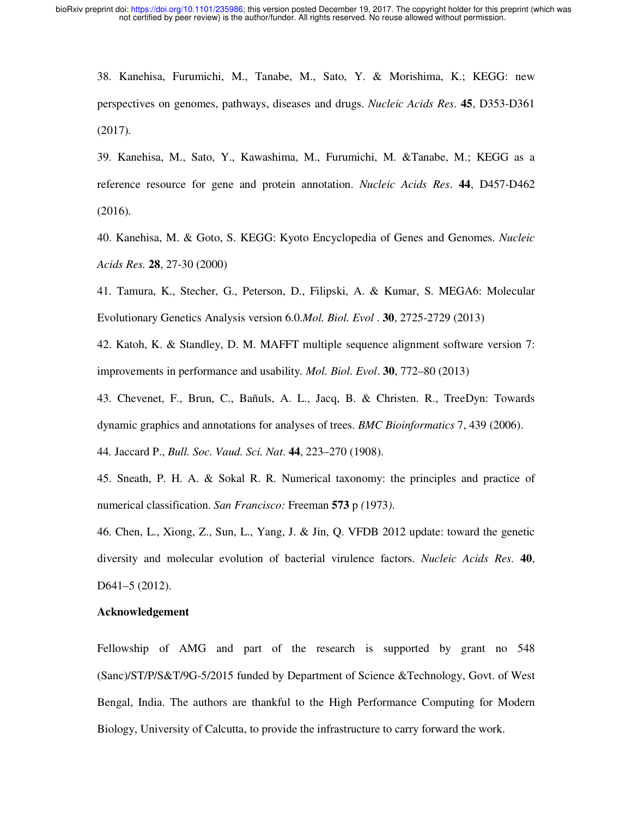38. Kanehisa, Furumichi, M., Tanabe, M., Sato, Y. & Morishima, K.; KEGG: new perspectives on genomes, pathways, diseases and drugs. *Nucleic Acids Res.* **45**, D353-D361 (2017).

39. Kanehisa, M., Sato, Y., Kawashima, M., Furumichi, M. &Tanabe, M.; KEGG as a reference resource for gene and protein annotation. *Nucleic Acids Res*. **44**, D457-D462 (2016).

40. Kanehisa, M. & Goto, S. KEGG: Kyoto Encyclopedia of Genes and Genomes. *Nucleic Acids Res.* **28**, 27-30 (2000)

41. Tamura, K., Stecher, G., Peterson, D., Filipski, A. & Kumar, S. MEGA6: Molecular Evolutionary Genetics Analysis version 6.0.*Mol. Biol. Evol* . **30**, 2725-2729 (2013)

42. Katoh, K. & Standley, D. M. MAFFT multiple sequence alignment software version 7: improvements in performance and usability*. Mol. Biol. Evol*. **30**, 772–80 (2013)

43. Chevenet, F., Brun, C., Bañuls, A. L., Jacq, B. & Christen. R., TreeDyn: Towards dynamic graphics and annotations for analyses of trees. *BMC Bioinformatics* 7, 439 (2006).

44*.* Jaccard P., *Bull. Soc. Vaud. Sci. Nat*. **44**, 223–270 (1908).

45. Sneath, P. H. A. & Sokal R. R. Numerical taxonomy: the principles and practice of numerical classification. *San Francisco:* Freeman **573** p *(*1973*)*.

46. Chen, L., Xiong, Z., Sun, L., Yang, J. & Jin, Q. VFDB 2012 update: toward the genetic diversity and molecular evolution of bacterial virulence factors. *Nucleic Acids Res.* **40**, D641–5 (2012).

#### **Acknowledgement**

Fellowship of AMG and part of the research is supported by grant no 548 (Sanc)/ST/P/S&T/9G-5/2015 funded by Department of Science &Technology, Govt. of West Bengal, India. The authors are thankful to the High Performance Computing for Modern Biology, University of Calcutta, to provide the infrastructure to carry forward the work.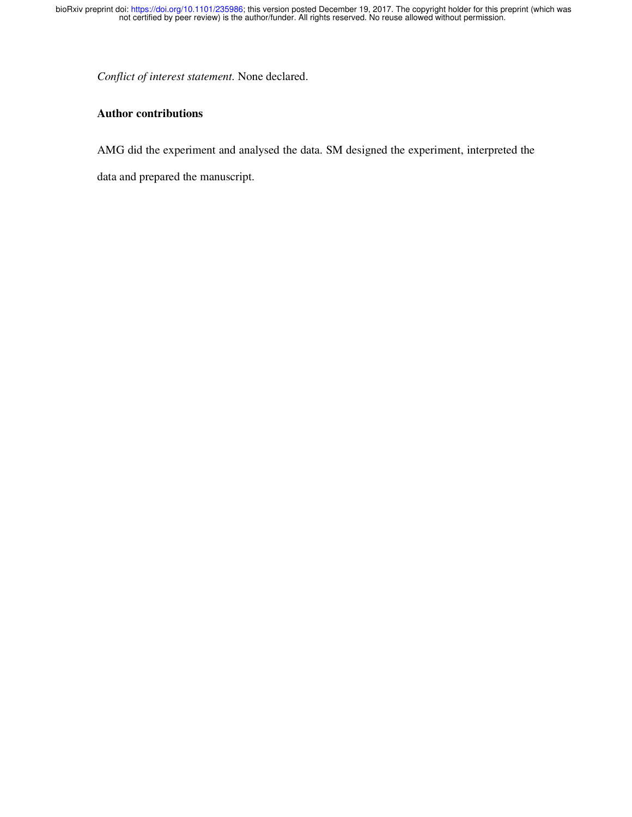*Conflict of interest statement.* None declared.

## **Author contributions**

AMG did the experiment and analysed the data. SM designed the experiment, interpreted the

data and prepared the manuscript.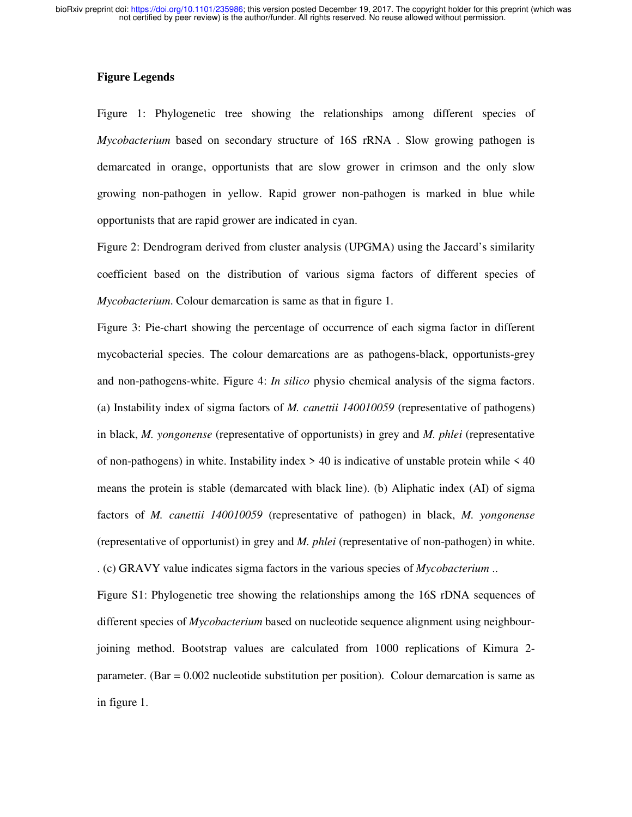## **Figure Legends**

Figure 1: Phylogenetic tree showing the relationships among different species of *Mycobacterium* based on secondary structure of 16S rRNA . Slow growing pathogen is demarcated in orange, opportunists that are slow grower in crimson and the only slow growing non-pathogen in yellow. Rapid grower non-pathogen is marked in blue while opportunists that are rapid grower are indicated in cyan.

Figure 2: Dendrogram derived from cluster analysis (UPGMA) using the Jaccard's similarity coefficient based on the distribution of various sigma factors of different species of *Mycobacterium*. Colour demarcation is same as that in figure 1.

Figure 3: Pie-chart showing the percentage of occurrence of each sigma factor in different mycobacterial species. The colour demarcations are as pathogens-black, opportunists-grey and non-pathogens-white. Figure 4: *In silico* physio chemical analysis of the sigma factors. (a) Instability index of sigma factors of *M. canettii 140010059* (representative of pathogens) in black, *M. yongonense* (representative of opportunists) in grey and *M. phlei* (representative of non-pathogens) in white. Instability index  $> 40$  is indicative of unstable protein while  $< 40$ means the protein is stable (demarcated with black line). (b) Aliphatic index (AI) of sigma factors of *M. canettii 140010059* (representative of pathogen) in black, *M. yongonense* (representative of opportunist) in grey and *M. phlei* (representative of non-pathogen) in white. . (c) GRAVY value indicates sigma factors in the various species of *Mycobacterium* ..

Figure S1: Phylogenetic tree showing the relationships among the 16S rDNA sequences of different species of *Mycobacterium* based on nucleotide sequence alignment using neighbourjoining method. Bootstrap values are calculated from 1000 replications of Kimura 2 parameter. (Bar = 0.002 nucleotide substitution per position). Colour demarcation is same as in figure 1.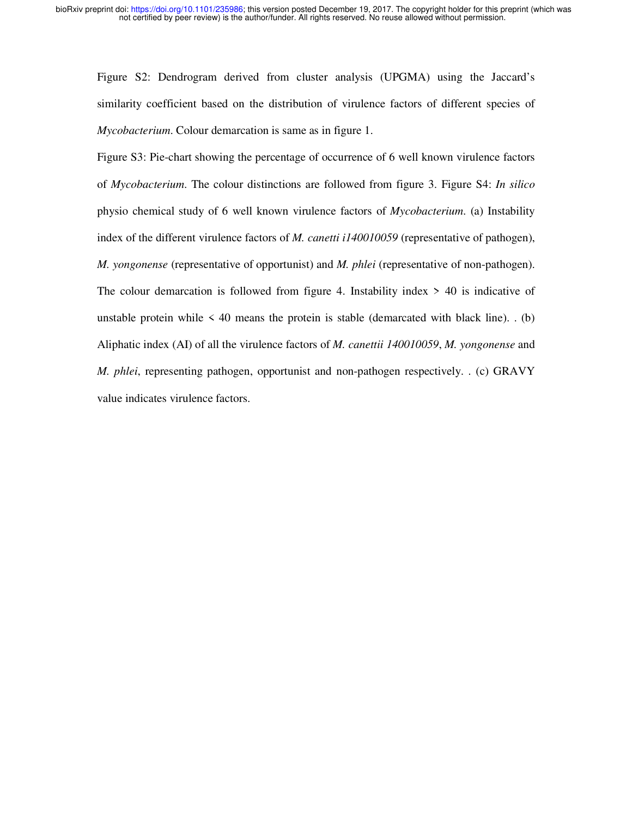Figure S2: Dendrogram derived from cluster analysis (UPGMA) using the Jaccard's similarity coefficient based on the distribution of virulence factors of different species of *Mycobacterium*. Colour demarcation is same as in figure 1.

Figure S3: Pie-chart showing the percentage of occurrence of 6 well known virulence factors of *Mycobacterium*. The colour distinctions are followed from figure 3. Figure S4: *In silico* physio chemical study of 6 well known virulence factors of *Mycobacterium*. (a) Instability index of the different virulence factors of *M. canetti i140010059* (representative of pathogen), *M. yongonense* (representative of opportunist) and *M. phlei* (representative of non-pathogen). The colour demarcation is followed from figure 4. Instability index  $> 40$  is indicative of unstable protein while  $\leq 40$  means the protein is stable (demarcated with black line).  $(b)$ Aliphatic index (AI) of all the virulence factors of *M. canettii 140010059*, *M. yongonense* and *M. phlei*, representing pathogen, opportunist and non-pathogen respectively. . (c) GRAVY value indicates virulence factors.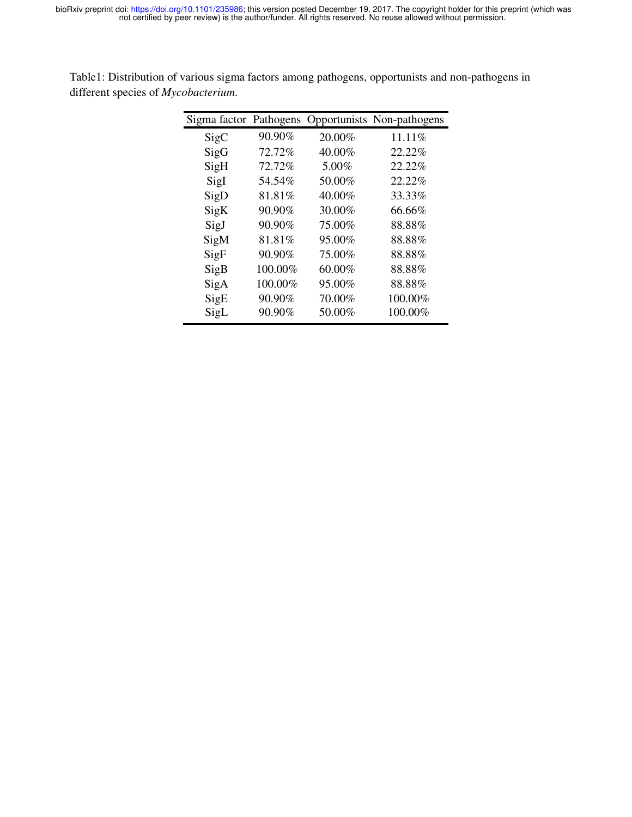| Sigma factor Pathogens |         |        | Opportunists Non-pathogens |
|------------------------|---------|--------|----------------------------|
| SigC                   | 90.90%  | 20.00% | 11.11\%                    |
| SigG                   | 72.72%  | 40.00% | 22.22%                     |
| SigH                   | 72.72%  | 5.00%  | 22.22%                     |
| SigI                   | 54.54%  | 50.00% | 22.22%                     |
| SigD                   | 81.81%  | 40.00% | 33.33%                     |
| SigK                   | 90.90%  | 30.00% | 66.66%                     |
| SigJ                   | 90.90%  | 75.00% | 88.88%                     |
| SigM                   | 81.81%  | 95.00% | 88.88%                     |
| SigF                   | 90.90%  | 75.00% | 88.88%                     |
| SigB                   | 100.00% | 60.00% | 88.88%                     |
| SigA                   | 100.00% | 95.00% | 88.88%                     |
| SigE                   | 90.90%  | 70.00% | 100.00%                    |
| SigL                   | 90.90%  | 50.00% | 100.00%                    |
|                        |         |        |                            |

Table1: Distribution of various sigma factors among pathogens, opportunists and non-pathogens in different species of *Mycobacterium*.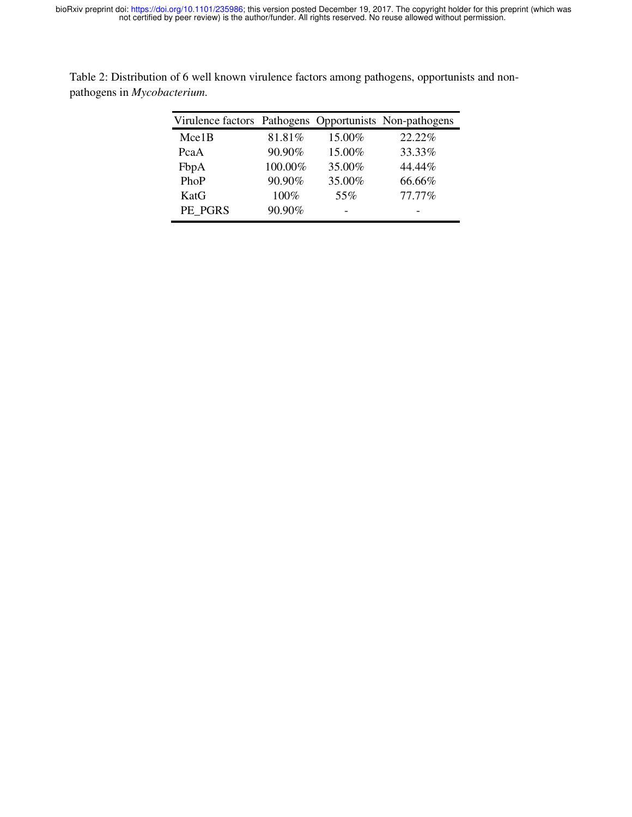| Virulence factors Pathogens Opportunists Non-pathogens |         |        |        |
|--------------------------------------------------------|---------|--------|--------|
| Mce1B                                                  | 81.81%  | 15.00% | 22.22% |
| PcaA                                                   | 90.90%  | 15.00% | 33.33% |
| FbpA                                                   | 100.00% | 35.00% | 44.44% |
| PhoP                                                   | 90.90%  | 35.00% | 66.66% |
| KatG                                                   | 100%    | 55%    | 77.77% |
| PE PGRS                                                | 90.90%  |        |        |

Table 2: Distribution of 6 well known virulence factors among pathogens, opportunists and nonpathogens in *Mycobacterium*.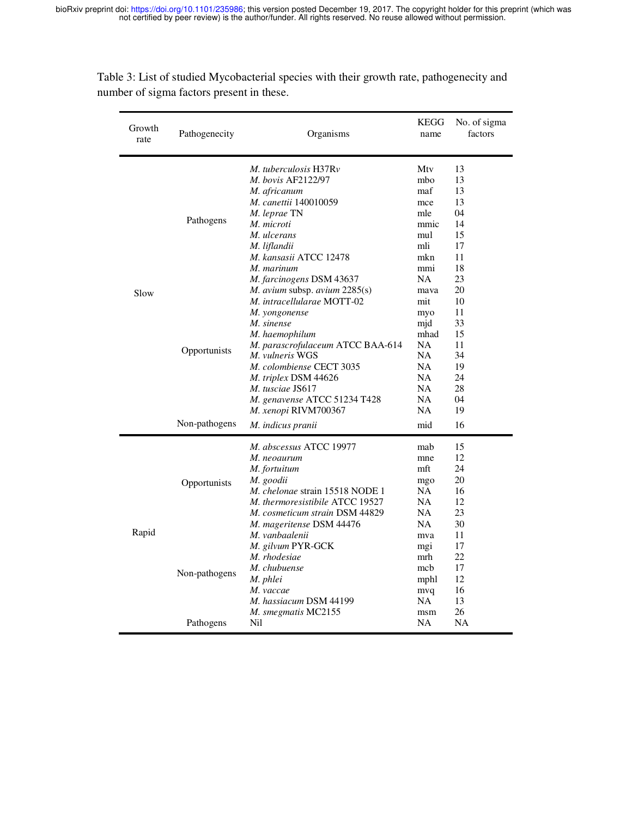| Growth<br>rate | Pathogenecity                 | Organisms                                                                                                                                                                                                                                                                                             | KEGG<br>name                                                                      | No. of sigma<br>factors                                              |
|----------------|-------------------------------|-------------------------------------------------------------------------------------------------------------------------------------------------------------------------------------------------------------------------------------------------------------------------------------------------------|-----------------------------------------------------------------------------------|----------------------------------------------------------------------|
| Slow           | Pathogens                     | M. tuberculosis H37Rv<br><i>M. bovis AF2122/97</i><br>M. africanum<br><i>M. canettii</i> 140010059<br>M. leprae TN<br>M. microti<br>M. ulcerans<br>M. liflandii<br>M. kansasii ATCC 12478<br>M. marinum<br><i>M. farcinogens DSM</i> 43637<br>M. avium subsp. avium 2285(s)                           | Mtv<br>mbo<br>maf<br>mce<br>mle<br>mmic<br>mul<br>mli<br>mkn<br>mmi<br>NA<br>mava | 13<br>13<br>13<br>13<br>04<br>14<br>15<br>17<br>11<br>18<br>23<br>20 |
|                | Opportunists<br>Non-pathogens | M. intracellularae MOTT-02<br>M. yongonense<br>M. sinense<br>M. haemophilum<br>M. parascrofulaceum ATCC BAA-614<br>M. vulneris WGS<br><i>M. colombiense</i> CECT 3035<br>M. triplex DSM 44626<br>M. tusciae JS617<br>M. genavense ATCC 51234 T428<br><i>M. xenopi</i> RIVM700367<br>M. indicus pranii | mit<br>myo<br>mjd<br>mhad<br>NA<br>NA<br><b>NA</b><br>NA<br>NA<br>NA<br>NA<br>mid | 10<br>11<br>33<br>15<br>11<br>34<br>19<br>24<br>28<br>04<br>19<br>16 |
| Rapid          | Opportunists                  | M. abscessus ATCC 19977<br>M. neoaurum<br>M. fortuitum<br>M. goodii<br><i>M. chelonae</i> strain 15518 NODE 1<br>M. thermoresistibile ATCC 19527<br>M. cosmeticum strain DSM 44829<br>M. mageritense DSM 44476                                                                                        | mab<br>mne<br>mft<br>mgo<br>NA<br><b>NA</b><br>NA<br>NA.                          | 15<br>12<br>24<br>20<br>16<br>12<br>23<br>30                         |
|                | Non-pathogens<br>Pathogens    | M. vanbaalenii<br>M. gilvum PYR-GCK<br>M. rhodesiae<br>M. chubuense<br>M. phlei<br>M. vaccae<br>M. hassiacum DSM 44199<br>M. smegmatis MC2155<br>Nil                                                                                                                                                  | mva<br>mg1<br>mrh<br>mcb<br>mphl<br>mvq<br>NA<br>msm<br>NA                        | 11<br>17<br>22<br>17<br>12<br>16<br>13<br>26<br>NA                   |

Table 3: List of studied Mycobacterial species with their growth rate, pathogenecity and number of sigma factors present in these.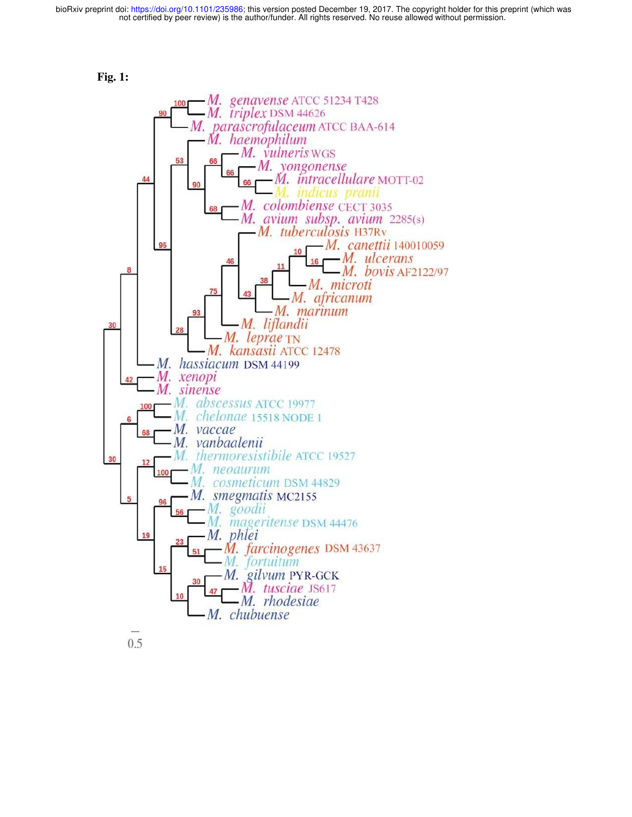



 $0.5$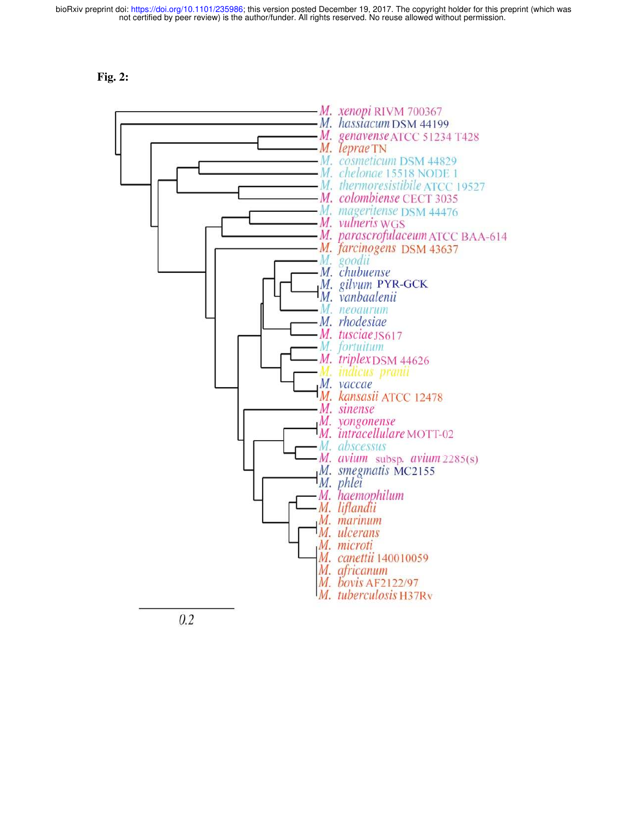



 $0.2$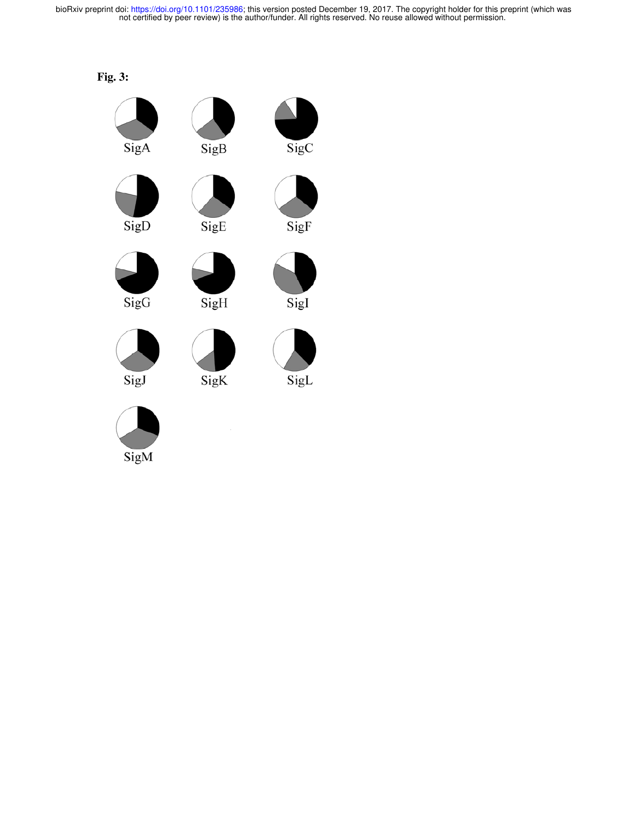

SigM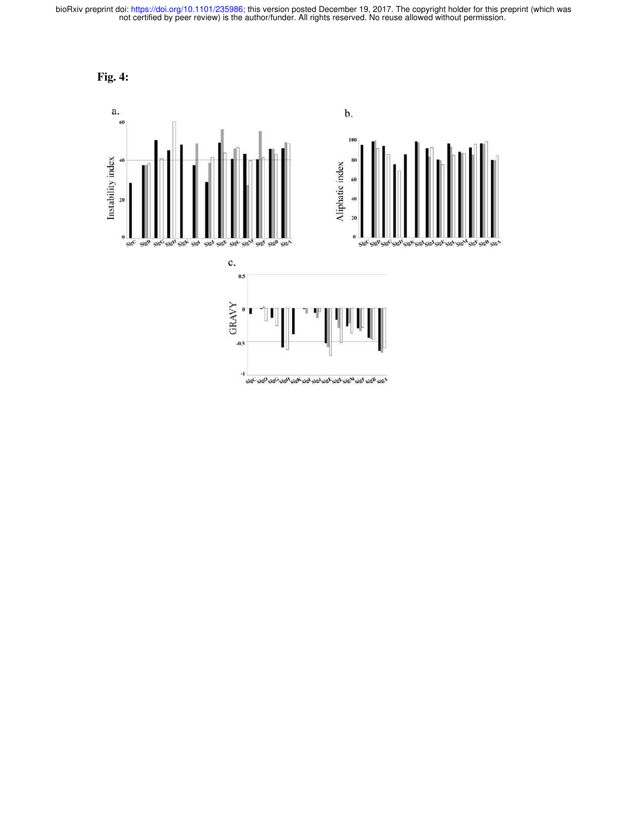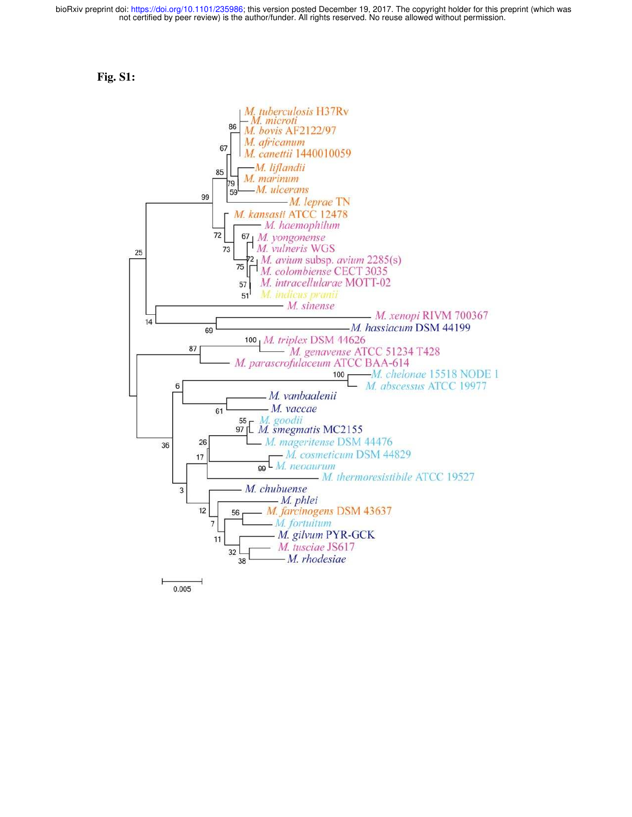



0.005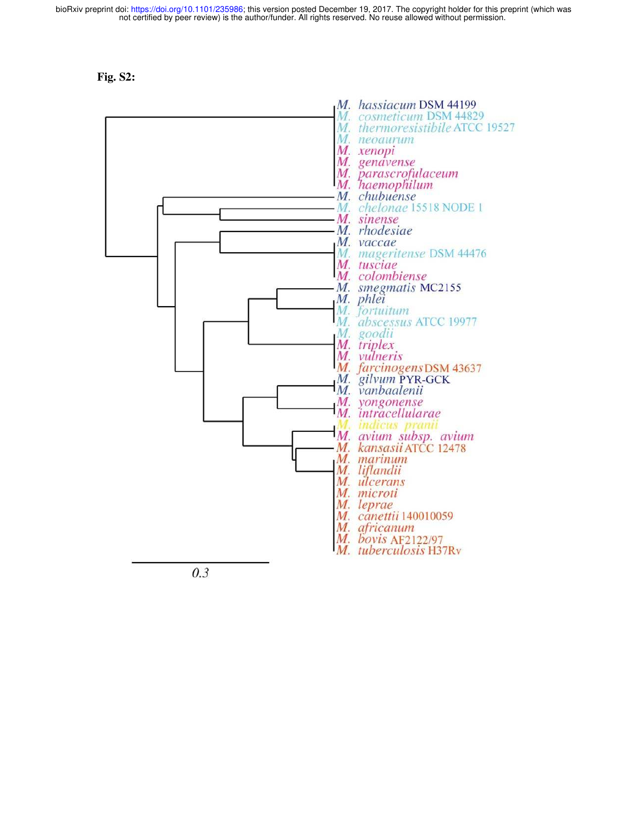**Fig. S2:** 



 $0.3$